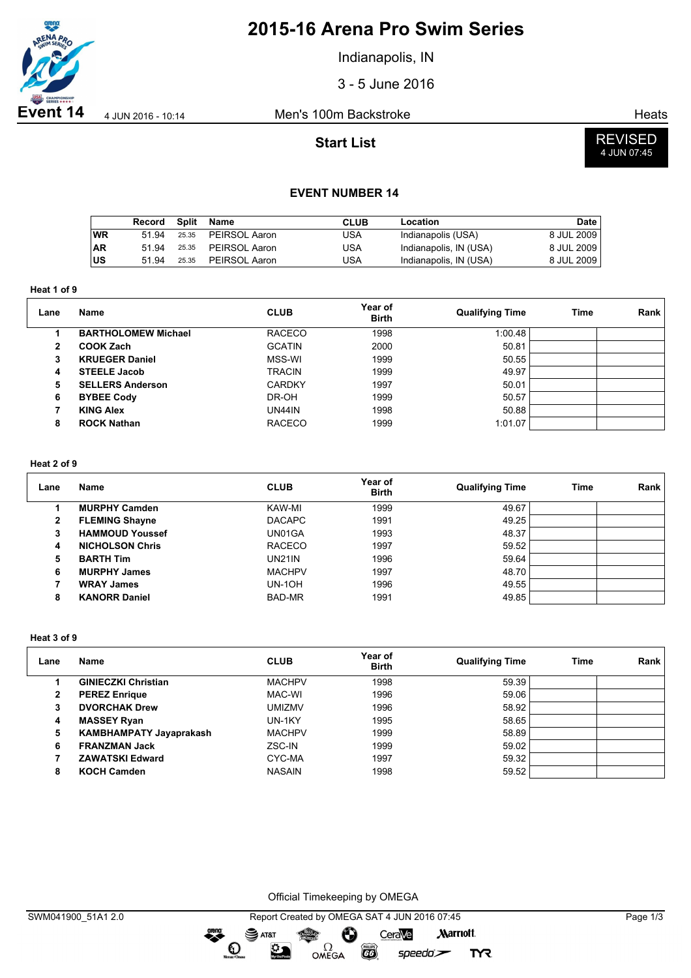

# **2015-16 Arena Pro Swim Series**

Indianapolis, IN

3 - 5 June 2016

**Event 14**  $\frac{4 \text{ JUN } 2016 - 10:14}{4 \text{ JUN } 2016 - 10:14}$  Men's 100m Backstroke

**Start List**



#### **EVENT NUMBER 14**

|           | Record | Split | Name          | CLUB | Location               | Date       |
|-----------|--------|-------|---------------|------|------------------------|------------|
| <b>WR</b> | 51 94  | 25.35 | PEIRSOL Aaron | USA  | Indianapolis (USA)     | 8 JUL 2009 |
| <b>AR</b> | 51 94  | 25.35 | PEIRSOL Aaron | USA  | Indianapolis, IN (USA) | 8 JUL 2009 |
| ∣us       | 51 94  | 25.35 | PEIRSOL Aaron | USA  | Indianapolis, IN (USA) | 8 JUL 2009 |

**Heat 1 of 9**

| Lane | Name                       | <b>CLUB</b>   | Year of<br><b>Birth</b> | <b>Qualifying Time</b> | Time | Rank |
|------|----------------------------|---------------|-------------------------|------------------------|------|------|
|      | <b>BARTHOLOMEW Michael</b> | <b>RACECO</b> | 1998                    | 1:00.48                |      |      |
| 2    | <b>COOK Zach</b>           | <b>GCATIN</b> | 2000                    | 50.81                  |      |      |
| 3    | <b>KRUEGER Daniel</b>      | MSS-WI        | 1999                    | 50.55                  |      |      |
| 4    | <b>STEELE Jacob</b>        | <b>TRACIN</b> | 1999                    | 49.97                  |      |      |
| 5    | <b>SELLERS Anderson</b>    | <b>CARDKY</b> | 1997                    | 50.01                  |      |      |
| 6    | <b>BYBEE Cody</b>          | DR-OH         | 1999                    | 50.57                  |      |      |
|      | <b>KING Alex</b>           | <b>UN44IN</b> | 1998                    | 50.88                  |      |      |
| 8    | <b>ROCK Nathan</b>         | <b>RACECO</b> | 1999                    | 1:01.07                |      |      |

#### **Heat 2 of 9**

| Lane         | Name                   | <b>CLUB</b>   | Year of<br><b>Birth</b> | <b>Qualifying Time</b> | <b>Time</b> | Rank |
|--------------|------------------------|---------------|-------------------------|------------------------|-------------|------|
|              | <b>MURPHY Camden</b>   | KAW-MI        | 1999                    | 49.67                  |             |      |
| $\mathbf{2}$ | <b>FLEMING Shayne</b>  | <b>DACAPC</b> | 1991                    | 49.25                  |             |      |
| 3            | <b>HAMMOUD Youssef</b> | UN01GA        | 1993                    | 48.37                  |             |      |
| 4            | <b>NICHOLSON Chris</b> | <b>RACECO</b> | 1997                    | 59.52                  |             |      |
| 5            | <b>BARTH Tim</b>       | UN21IN        | 1996                    | 59.64                  |             |      |
| 6            | <b>MURPHY James</b>    | <b>MACHPV</b> | 1997                    | 48.70                  |             |      |
|              | <b>WRAY James</b>      | UN-1OH        | 1996                    | 49.55                  |             |      |
| 8            | <b>KANORR Daniel</b>   | BAD-MR        | 1991                    | 49.85                  |             |      |

#### **Heat 3 of 9**

| Lane | <b>Name</b>                    | <b>CLUB</b>   | Year of<br><b>Birth</b> | <b>Qualifying Time</b> | <b>Time</b> | Rank |
|------|--------------------------------|---------------|-------------------------|------------------------|-------------|------|
|      | <b>GINIECZKI Christian</b>     | <b>MACHPV</b> | 1998                    | 59.39                  |             |      |
| 2    | <b>PEREZ Enrique</b>           | MAC-WI        | 1996                    | 59.06                  |             |      |
| з    | <b>DVORCHAK Drew</b>           | <b>UMIZMV</b> | 1996                    | 58.92                  |             |      |
| 4    | <b>MASSEY Ryan</b>             | UN-1KY        | 1995                    | 58.65                  |             |      |
| 5    | <b>KAMBHAMPATY Jayaprakash</b> | <b>MACHPV</b> | 1999                    | 58.89                  |             |      |
| 6    | <b>FRANZMAN Jack</b>           | ZSC-IN        | 1999                    | 59.02                  |             |      |
|      | <b>ZAWATSKI Edward</b>         | CYC-MA        | 1997                    | 59.32                  |             |      |
| 8    | <b>KOCH Camden</b>             | <b>NASAIN</b> | 1998                    | 59.52                  |             |      |

Official Timekeeping by OMEGA

Ô

**EGS** 

OMEGA

CeraVe

speedo`<del>∠</del>

**Marriott** 

**TYR** 

dreng:

 $\mathbf O$ 

 $\mathbf{S}$  AT&T

 $\sum_{n=1}^{\infty}$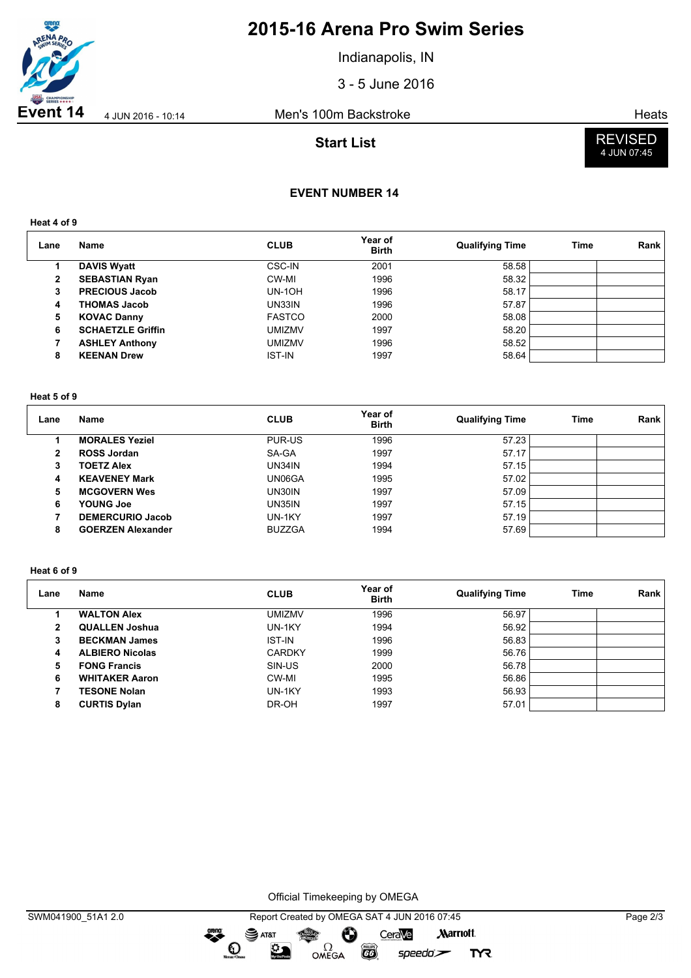

# **2015-16 Arena Pro Swim Series**

Indianapolis, IN

3 - 5 June 2016

**Event 14** 4 JUN 2016 - 10:14 Men's 100m Backstroke Heats

## **Start List**



# **EVENT NUMBER 14**

**Heat 4 of 9**

| Lane | Name                     | <b>CLUB</b>   | Year of<br><b>Birth</b> | <b>Qualifying Time</b> | Time | Rank |
|------|--------------------------|---------------|-------------------------|------------------------|------|------|
|      | <b>DAVIS Wyatt</b>       | CSC-IN        | 2001                    | 58.58                  |      |      |
| 2    | <b>SEBASTIAN Ryan</b>    | CW-MI         | 1996                    | 58.32                  |      |      |
| 3    | <b>PRECIOUS Jacob</b>    | $UN-1OH$      | 1996                    | 58.17                  |      |      |
| 4    | <b>THOMAS Jacob</b>      | UN33IN        | 1996                    | 57.87                  |      |      |
| 5    | <b>KOVAC Danny</b>       | <b>FASTCO</b> | 2000                    | 58.08                  |      |      |
| 6    | <b>SCHAETZLE Griffin</b> | <b>UMIZMV</b> | 1997                    | 58.20                  |      |      |
|      | <b>ASHLEY Anthony</b>    | <b>UMIZMV</b> | 1996                    | 58.52                  |      |      |
| 8    | <b>KEENAN Drew</b>       | <b>IST-IN</b> | 1997                    | 58.64                  |      |      |

#### **Heat 5 of 9**

| Lane | <b>Name</b>              | <b>CLUB</b>   | Year of<br><b>Birth</b> | <b>Qualifying Time</b> | <b>Time</b> | Rank |
|------|--------------------------|---------------|-------------------------|------------------------|-------------|------|
|      | <b>MORALES Yeziel</b>    | PUR-US        | 1996                    | 57.23                  |             |      |
| 2    | <b>ROSS Jordan</b>       | SA-GA         | 1997                    | 57.17                  |             |      |
| 3    | <b>TOETZ Alex</b>        | UN34IN        | 1994                    | 57.15                  |             |      |
| 4    | <b>KEAVENEY Mark</b>     | UN06GA        | 1995                    | 57.02                  |             |      |
| 5    | <b>MCGOVERN Wes</b>      | UN30IN        | 1997                    | 57.09                  |             |      |
| 6    | <b>YOUNG Joe</b>         | UN35IN        | 1997                    | 57.15                  |             |      |
|      | <b>DEMERCURIO Jacob</b>  | UN-1KY        | 1997                    | 57.19                  |             |      |
| 8    | <b>GOERZEN Alexander</b> | <b>BUZZGA</b> | 1994                    | 57.69                  |             |      |

#### **Heat 6 of 9**

| Lane | Name                   | <b>CLUB</b>   | Year of<br><b>Birth</b> | <b>Qualifying Time</b> | Time | Rank |
|------|------------------------|---------------|-------------------------|------------------------|------|------|
|      | <b>WALTON Alex</b>     | <b>UMIZMV</b> | 1996                    | 56.97                  |      |      |
| 2    | <b>QUALLEN Joshua</b>  | UN-1KY        | 1994                    | 56.92                  |      |      |
| 3    | <b>BECKMAN James</b>   | <b>IST-IN</b> | 1996                    | 56.83                  |      |      |
| 4    | <b>ALBIERO Nicolas</b> | <b>CARDKY</b> | 1999                    | 56.76                  |      |      |
| 5    | <b>FONG Francis</b>    | SIN-US        | 2000                    | 56.78                  |      |      |
| 6    | <b>WHITAKER Aaron</b>  | CW-MI         | 1995                    | 56.86                  |      |      |
|      | <b>TESONE Nolan</b>    | UN-1KY        | 1993                    | 56.93                  |      |      |
| 8    | <b>CURTIS Dylan</b>    | DR-OH         | 1997                    | 57.01                  |      |      |

Official Timekeeping by OMEGA

dreng:

SWM041900\_51A1 2.0 Report Created by OMEGA SAT 4 JUN 2016 07:45 Page 2/3 SAT&T CeraVe **Marriott** Ô OMEGA  $\mathbf O$  $\sum_{n=1}^{\infty}$  $\overline{G}$  $speedo$ 

**TYR**